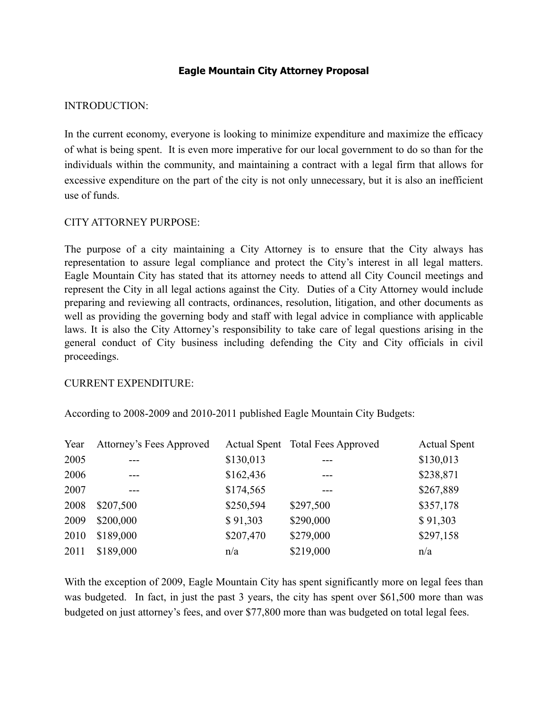# **Eagle Mountain City Attorney Proposal**

### INTRODUCTION:

In the current economy, everyone is looking to minimize expenditure and maximize the efficacy of what is being spent. It is even more imperative for our local government to do so than for the individuals within the community, and maintaining a contract with a legal firm that allows for excessive expenditure on the part of the city is not only unnecessary, but it is also an inefficient use of funds.

## CITY ATTORNEY PURPOSE:

The purpose of a city maintaining a City Attorney is to ensure that the City always has representation to assure legal compliance and protect the City's interest in all legal matters. Eagle Mountain City has stated that its attorney needs to attend all City Council meetings and represent the City in all legal actions against the City. Duties of a City Attorney would include preparing and reviewing all contracts, ordinances, resolution, litigation, and other documents as well as providing the governing body and staff with legal advice in compliance with applicable laws. It is also the City Attorney's responsibility to take care of legal questions arising in the general conduct of City business including defending the City and City officials in civil proceedings.

#### CURRENT EXPENDITURE:

According to 2008-2009 and 2010-2011 published Eagle Mountain City Budgets:

| Year | Attorney's Fees Approved |           | Actual Spent Total Fees Approved | <b>Actual Spent</b> |
|------|--------------------------|-----------|----------------------------------|---------------------|
| 2005 | ---                      | \$130,013 | ---                              | \$130,013           |
| 2006 |                          | \$162,436 | ---                              | \$238,871           |
| 2007 |                          | \$174,565 |                                  | \$267,889           |
| 2008 | \$207,500                | \$250,594 | \$297,500                        | \$357,178           |
| 2009 | \$200,000                | \$91,303  | \$290,000                        | \$91,303            |
| 2010 | \$189,000                | \$207,470 | \$279,000                        | \$297,158           |
| 2011 | \$189,000                | n/a       | \$219,000                        | n/a                 |

With the exception of 2009, Eagle Mountain City has spent significantly more on legal fees than was budgeted. In fact, in just the past 3 years, the city has spent over \$61,500 more than was budgeted on just attorney's fees, and over \$77,800 more than was budgeted on total legal fees.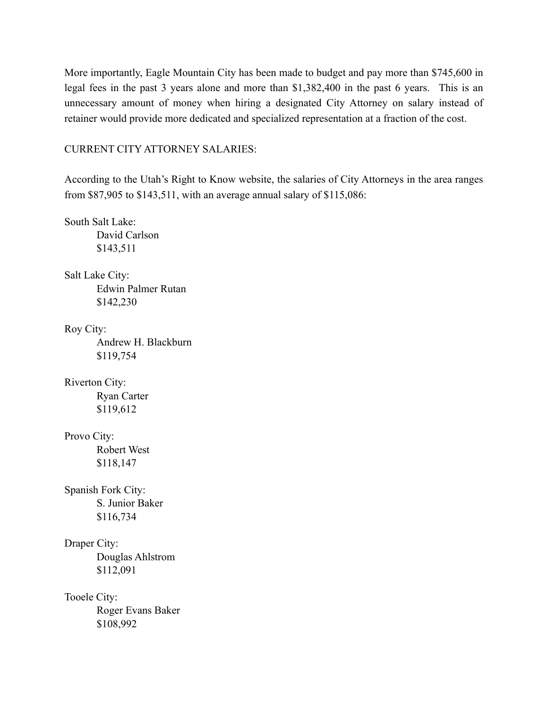More importantly, Eagle Mountain City has been made to budget and pay more than \$745,600 in legal fees in the past 3 years alone and more than \$1,382,400 in the past 6 years. This is an unnecessary amount of money when hiring a designated City Attorney on salary instead of retainer would provide more dedicated and specialized representation at a fraction of the cost.

CURRENT CITY ATTORNEY SALARIES:

According to the Utah's Right to Know website, the salaries of City Attorneys in the area ranges from \$87,905 to \$143,511, with an average annual salary of \$115,086:

South Salt Lake: David Carlson \$143,511 Salt Lake City: Edwin Palmer Rutan \$142,230 Roy City: Andrew H. Blackburn \$119,754 Riverton City: Ryan Carter \$119,612 Provo City: Robert West \$118,147 Spanish Fork City: S. Junior Baker \$116,734 Draper City: Douglas Ahlstrom \$112,091 Tooele City: Roger Evans Baker

\$108,992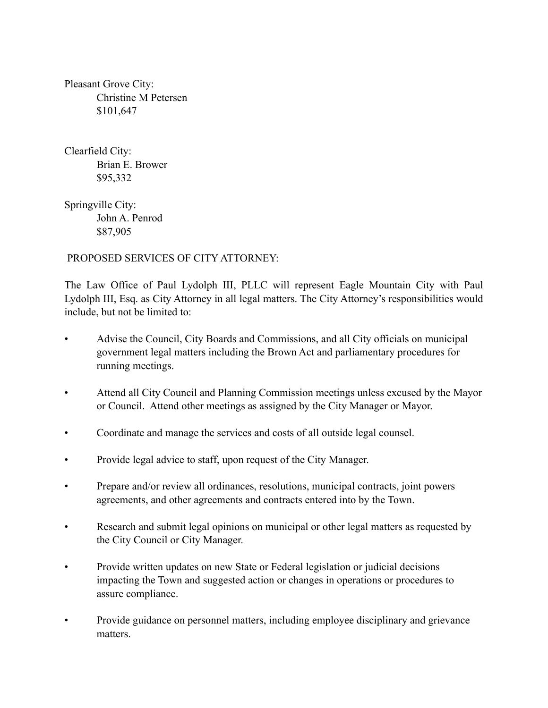Pleasant Grove City: Christine M Petersen \$101,647

Clearfield City: Brian E. Brower \$95,332

Springville City: John A. Penrod \$87,905

# PROPOSED SERVICES OF CITY ATTORNEY:

The Law Office of Paul Lydolph III, PLLC will represent Eagle Mountain City with Paul Lydolph III, Esq. as City Attorney in all legal matters. The City Attorney's responsibilities would include, but not be limited to:

- Advise the Council, City Boards and Commissions, and all City officials on municipal government legal matters including the Brown Act and parliamentary procedures for running meetings.
- Attend all City Council and Planning Commission meetings unless excused by the Mayor or Council. Attend other meetings as assigned by the City Manager or Mayor.
- Coordinate and manage the services and costs of all outside legal counsel.
- Provide legal advice to staff, upon request of the City Manager.
- Prepare and/or review all ordinances, resolutions, municipal contracts, joint powers agreements, and other agreements and contracts entered into by the Town.
- Research and submit legal opinions on municipal or other legal matters as requested by the City Council or City Manager.
- Provide written updates on new State or Federal legislation or judicial decisions impacting the Town and suggested action or changes in operations or procedures to assure compliance.
- Provide guidance on personnel matters, including employee disciplinary and grievance matters.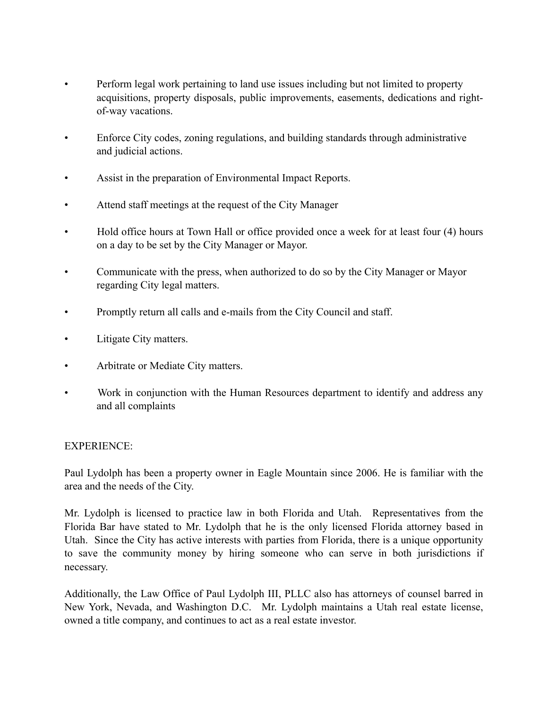- Perform legal work pertaining to land use issues including but not limited to property acquisitions, property disposals, public improvements, easements, dedications and rightof-way vacations.
- Enforce City codes, zoning regulations, and building standards through administrative and judicial actions.
- Assist in the preparation of Environmental Impact Reports.
- Attend staff meetings at the request of the City Manager
- Hold office hours at Town Hall or office provided once a week for at least four (4) hours on a day to be set by the City Manager or Mayor.
- Communicate with the press, when authorized to do so by the City Manager or Mayor regarding City legal matters.
- Promptly return all calls and e-mails from the City Council and staff.
- Litigate City matters.
- Arbitrate or Mediate City matters.
- Work in conjunction with the Human Resources department to identify and address any and all complaints

#### EXPERIENCE:

Paul Lydolph has been a property owner in Eagle Mountain since 2006. He is familiar with the area and the needs of the City.

Mr. Lydolph is licensed to practice law in both Florida and Utah. Representatives from the Florida Bar have stated to Mr. Lydolph that he is the only licensed Florida attorney based in Utah. Since the City has active interests with parties from Florida, there is a unique opportunity to save the community money by hiring someone who can serve in both jurisdictions if necessary.

Additionally, the Law Office of Paul Lydolph III, PLLC also has attorneys of counsel barred in New York, Nevada, and Washington D.C. Mr. Lydolph maintains a Utah real estate license, owned a title company, and continues to act as a real estate investor.